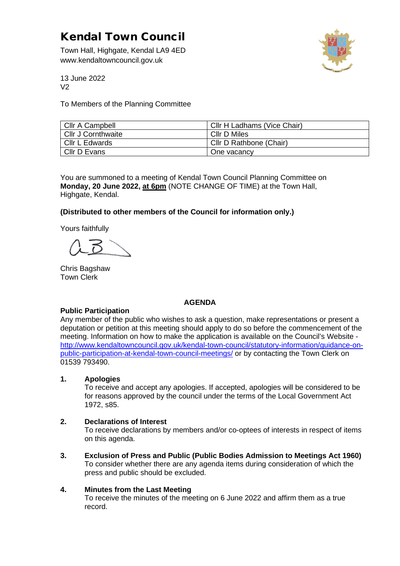# Kendal Town Council

Town Hall, Highgate, Kendal LA9 4ED www.kendaltowncouncil.gov.uk



13 June 2022  $V<sub>2</sub>$ 

To Members of the Planning Committee

| Cllr A Campbell           | Cllr H Ladhams (Vice Chair) |
|---------------------------|-----------------------------|
| <b>Cllr J Cornthwaite</b> | Cllr D Miles                |
| Cllr L Edwards            | Cllr D Rathbone (Chair)     |
| Cllr D Evans              | One vacancy                 |

You are summoned to a meeting of Kendal Town Council Planning Committee on **Monday, 20 June 2022, at 6pm** (NOTE CHANGE OF TIME) at the Town Hall, Highgate, Kendal.

# **(Distributed to other members of the Council for information only.)**

Yours faithfully

Chris Bagshaw Town Clerk

### **AGENDA**

### **Public Participation**

Any member of the public who wishes to ask a question, make representations or present a deputation or petition at this meeting should apply to do so before the commencement of the meeting. Information on how to make the application is available on the Council's Website [http://www.kendaltowncouncil.gov.uk/kendal-town-council/statutory-information/guidance-on](http://www.kendaltowncouncil.gov.uk/kendal-town-council/statutory-information/guidance-on-public-participation-at-kendal-town-council-meetings/)[public-participation-at-kendal-town-council-meetings/](http://www.kendaltowncouncil.gov.uk/kendal-town-council/statutory-information/guidance-on-public-participation-at-kendal-town-council-meetings/) or by contacting the Town Clerk on 01539 793490.

### **1. Apologies**

To receive and accept any apologies. If accepted, apologies will be considered to be for reasons approved by the council under the terms of the Local Government Act 1972, s85.

### **2. Declarations of Interest**

To receive declarations by members and/or co-optees of interests in respect of items on this agenda.

**3. Exclusion of Press and Public (Public Bodies Admission to Meetings Act 1960)**  To consider whether there are any agenda items during consideration of which the press and public should be excluded.

### **4. Minutes from the Last Meeting**

To receive the minutes of the meeting on 6 June 2022 and affirm them as a true record.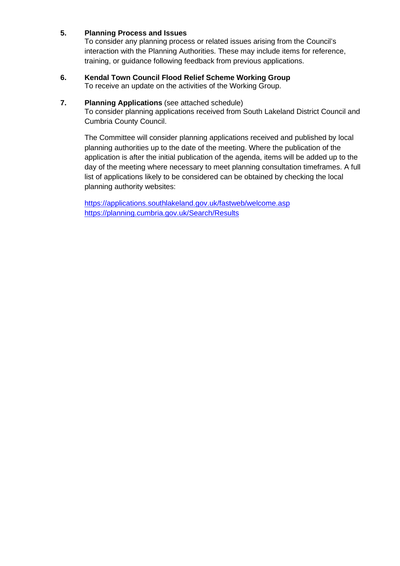# **5. Planning Process and Issues**

To consider any planning process or related issues arising from the Council's interaction with the Planning Authorities. These may include items for reference, training, or guidance following feedback from previous applications.

# **6. Kendal Town Council Flood Relief Scheme Working Group**

To receive an update on the activities of the Working Group.

## **7. Planning Applications** (see attached schedule)

To consider planning applications received from South Lakeland District Council and Cumbria County Council.

The Committee will consider planning applications received and published by local planning authorities up to the date of the meeting. Where the publication of the application is after the initial publication of the agenda, items will be added up to the day of the meeting where necessary to meet planning consultation timeframes. A full list of applications likely to be considered can be obtained by checking the local planning authority websites:

<https://applications.southlakeland.gov.uk/fastweb/welcome.asp> <https://planning.cumbria.gov.uk/Search/Results>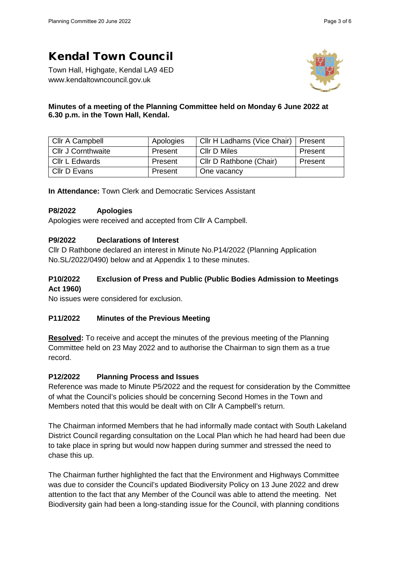# Kendal Town Council

Town Hall, Highgate, Kendal LA9 4ED www.kendaltowncouncil.gov.uk



## **Minutes of a meeting of the Planning Committee held on Monday 6 June 2022 at 6.30 p.m. in the Town Hall, Kendal.**

| Cllr A Campbell    | Apologies | Cllr H Ladhams (Vice Chair)   Present |         |
|--------------------|-----------|---------------------------------------|---------|
| Cllr J Cornthwaite | Present   | Cllr D Miles                          | Present |
| Cllr L Edwards     | Present   | Cllr D Rathbone (Chair)               | Present |
| Cllr D Evans       | Present   | One vacancy                           |         |

**In Attendance:** Town Clerk and Democratic Services Assistant

## **P8/2022 Apologies**

Apologies were received and accepted from Cllr A Campbell.

## **P9/2022 Declarations of Interest**

Cllr D Rathbone declared an interest in Minute No.P14/2022 (Planning Application No.SL/2022/0490) below and at Appendix 1 to these minutes.

## **P10/2022 Exclusion of Press and Public (Public Bodies Admission to Meetings Act 1960)**

No issues were considered for exclusion.

# **P11/2022 Minutes of the Previous Meeting**

**Resolved:** To receive and accept the minutes of the previous meeting of the Planning Committee held on 23 May 2022 and to authorise the Chairman to sign them as a true record.

### **P12/2022 Planning Process and Issues**

Reference was made to Minute P5/2022 and the request for consideration by the Committee of what the Council's policies should be concerning Second Homes in the Town and Members noted that this would be dealt with on Cllr A Campbell's return.

The Chairman informed Members that he had informally made contact with South Lakeland District Council regarding consultation on the Local Plan which he had heard had been due to take place in spring but would now happen during summer and stressed the need to chase this up.

The Chairman further highlighted the fact that the Environment and Highways Committee was due to consider the Council's updated Biodiversity Policy on 13 June 2022 and drew attention to the fact that any Member of the Council was able to attend the meeting. Net Biodiversity gain had been a long-standing issue for the Council, with planning conditions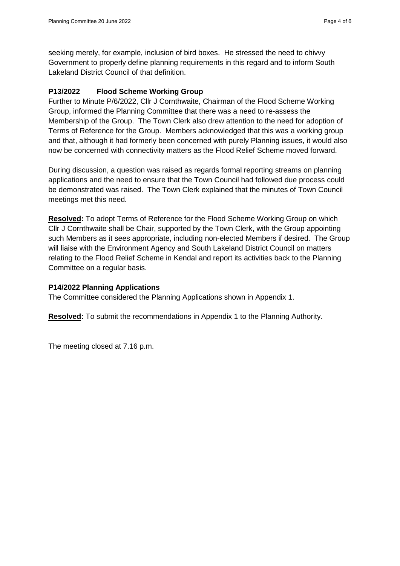seeking merely, for example, inclusion of bird boxes. He stressed the need to chivvy Government to properly define planning requirements in this regard and to inform South Lakeland District Council of that definition.

## **P13/2022 Flood Scheme Working Group**

Further to Minute P/6/2022, Cllr J Cornthwaite, Chairman of the Flood Scheme Working Group, informed the Planning Committee that there was a need to re-assess the Membership of the Group. The Town Clerk also drew attention to the need for adoption of Terms of Reference for the Group. Members acknowledged that this was a working group and that, although it had formerly been concerned with purely Planning issues, it would also now be concerned with connectivity matters as the Flood Relief Scheme moved forward.

During discussion, a question was raised as regards formal reporting streams on planning applications and the need to ensure that the Town Council had followed due process could be demonstrated was raised. The Town Clerk explained that the minutes of Town Council meetings met this need.

**Resolved:** To adopt Terms of Reference for the Flood Scheme Working Group on which Cllr J Cornthwaite shall be Chair, supported by the Town Clerk, with the Group appointing such Members as it sees appropriate, including non-elected Members if desired. The Group will liaise with the Environment Agency and South Lakeland District Council on matters relating to the Flood Relief Scheme in Kendal and report its activities back to the Planning Committee on a regular basis.

### **P14/2022 Planning Applications**

The Committee considered the Planning Applications shown in Appendix 1.

**Resolved:** To submit the recommendations in Appendix 1 to the Planning Authority.

The meeting closed at 7.16 p.m.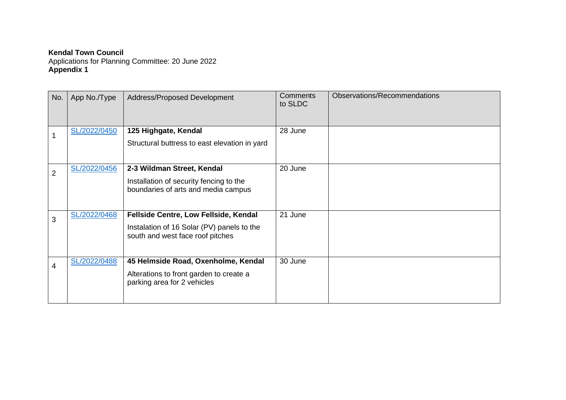# **Kendal Town Council**

Applications for Planning Committee: 20 June 2022 **Appendix 1**

| No.            | App No./Type | Address/Proposed Development                                                                                            | <b>Comments</b><br>to SLDC | Observations/Recommendations |
|----------------|--------------|-------------------------------------------------------------------------------------------------------------------------|----------------------------|------------------------------|
|                | SL/2022/0450 | 125 Highgate, Kendal<br>Structural buttress to east elevation in yard                                                   | 28 June                    |                              |
| $\overline{2}$ | SL/2022/0456 | 2-3 Wildman Street, Kendal<br>Installation of security fencing to the<br>boundaries of arts and media campus            | 20 June                    |                              |
| 3              | SL/2022/0468 | Fellside Centre, Low Fellside, Kendal<br>Instalation of 16 Solar (PV) panels to the<br>south and west face roof pitches | 21 June                    |                              |
| 4              | SL/2022/0488 | 45 Helmside Road, Oxenholme, Kendal<br>Alterations to front garden to create a<br>parking area for 2 vehicles           | 30 June                    |                              |